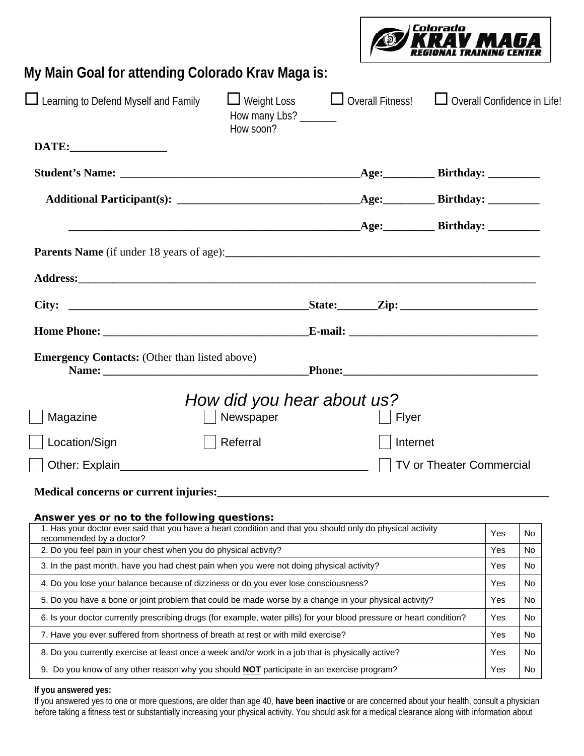

## **My Main Goal for attending Colorado Krav Maga is:**

| Learning to Defend Myself and Family                                                                                                   | $\Box$ Weight Loss<br>How many Lbs? ______<br>How soon? ____________ |  | $\Box$ Overall Fitness! $\Box$ Overall Confidence in Life! |                          |     |     |
|----------------------------------------------------------------------------------------------------------------------------------------|----------------------------------------------------------------------|--|------------------------------------------------------------|--------------------------|-----|-----|
|                                                                                                                                        |                                                                      |  |                                                            |                          |     |     |
|                                                                                                                                        |                                                                      |  |                                                            |                          |     |     |
|                                                                                                                                        |                                                                      |  |                                                            |                          |     |     |
|                                                                                                                                        |                                                                      |  |                                                            |                          |     |     |
|                                                                                                                                        |                                                                      |  |                                                            |                          |     |     |
|                                                                                                                                        |                                                                      |  |                                                            |                          |     |     |
|                                                                                                                                        |                                                                      |  |                                                            |                          |     |     |
|                                                                                                                                        |                                                                      |  |                                                            |                          |     |     |
| <b>Emergency Contacts:</b> (Other than listed above)<br>Magazine                                                                       | How did you hear about us?<br>Newspaper                              |  | Flyer                                                      |                          |     |     |
| Location/Sign                                                                                                                          | Referral                                                             |  | Internet                                                   |                          |     |     |
| Answer yes or no to the following questions:                                                                                           |                                                                      |  |                                                            | TV or Theater Commercial |     |     |
| 1. Has your doctor ever said that you have a heart condition and that you should only do physical activity<br>recommended by a doctor? |                                                                      |  |                                                            |                          | Yes | No. |
| 2. Do you feel pain in your chest when you do physical activity?                                                                       |                                                                      |  |                                                            | Yes                      | No  |     |
| 3. In the past month, have you had chest pain when you were not doing physical activity?                                               |                                                                      |  |                                                            | Yes                      | No  |     |
| 4. Do you lose your balance because of dizziness or do you ever lose consciousness?                                                    |                                                                      |  |                                                            | Yes                      | No. |     |
| 5. Do you have a bone or joint problem that could be made worse by a change in your physical activity?                                 |                                                                      |  |                                                            | Yes                      | No  |     |
| 6. Is your doctor currently prescribing drugs (for example, water pills) for your blood pressure or heart condition?                   |                                                                      |  |                                                            |                          | Yes | No. |
| 7. Have you ever suffered from shortness of breath at rest or with mild exercise?                                                      |                                                                      |  |                                                            |                          | Yes | No. |
| 8. Do you currently exercise at least once a week and/or work in a job that is physically active?                                      |                                                                      |  |                                                            |                          | Yes | No. |
| 9. Do you know of any other reason why you should <b>NOT</b> participate in an exercise program?                                       |                                                                      |  |                                                            |                          | Yes | No  |
|                                                                                                                                        |                                                                      |  |                                                            |                          |     |     |

## **If you answered yes:**

If you answered yes to one or more questions, are older than age 40, **have been inactive** or are concerned about your health, consult a physician before taking a fitness test or substantially increasing your physical activity. You should ask for a medical clearance along with information about